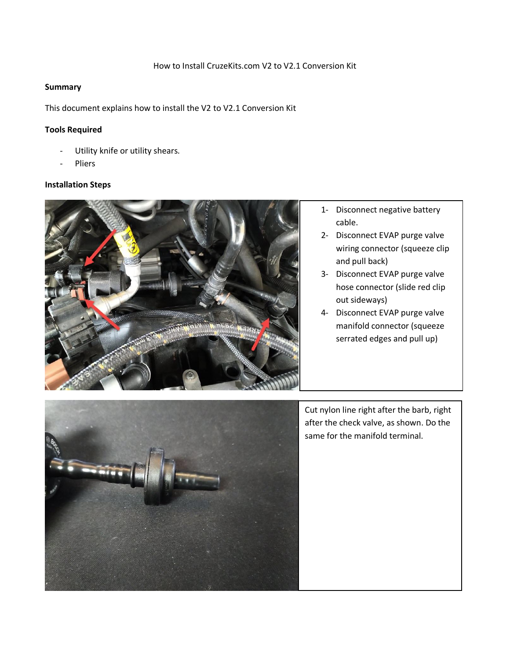## **Summary**

This document explains how to install the V2 to V2.1 Conversion Kit

## **Tools Required**

- Utility knife or utility shears.
- **Pliers**

## **Installation Steps**



- 1- Disconnect negative battery cable.
- 2- Disconnect EVAP purge valve wiring connector (squeeze clip and pull back)
- 3- Disconnect EVAP purge valve hose connector (slide red clip out sideways)
- 4- Disconnect EVAP purge valve manifold connector (squeeze serrated edges and pull up)



Cut nylon line right after the barb, right after the check valve, as shown. Do the same for the manifold terminal.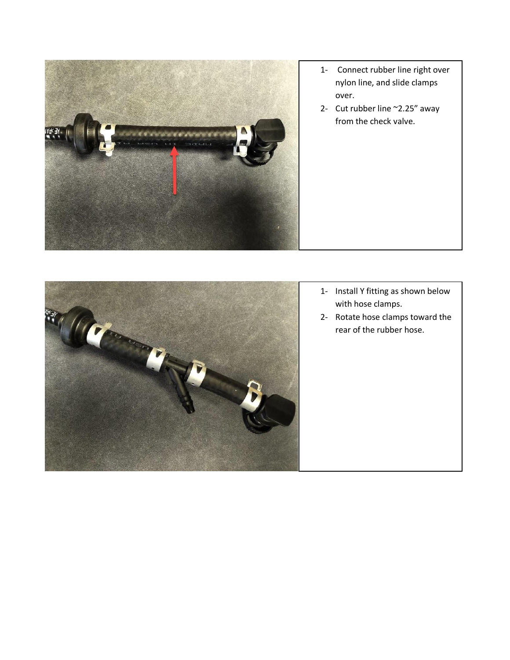

- 1- Connect rubber line right over nylon line, and slide clamps over.
- 2- Cut rubber line ~2.25" away from the check valve.



- 1- Install Y fitting as shown below with hose clamps.
- 2- Rotate hose clamps toward the rear of the rubber hose.